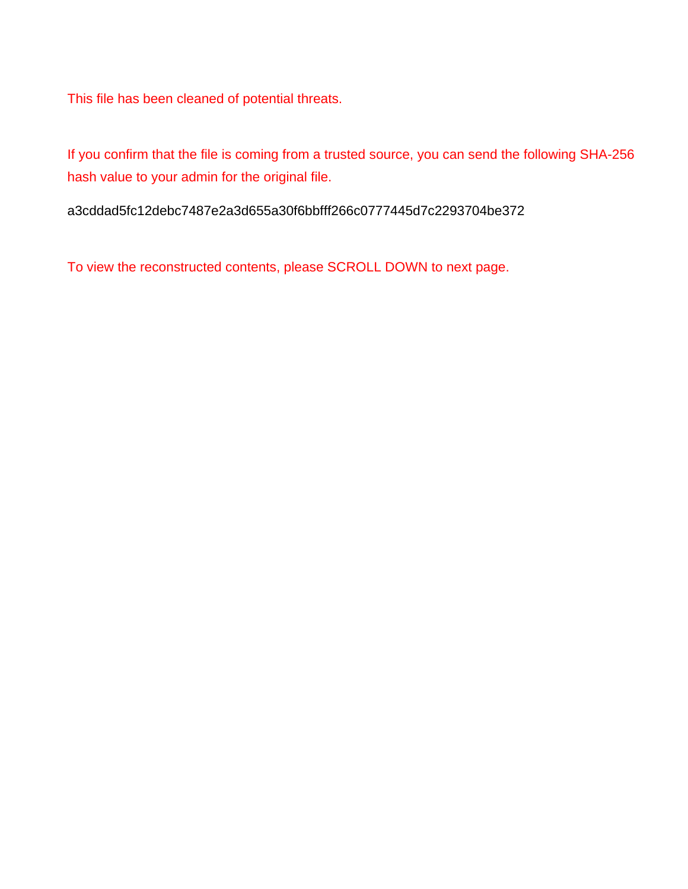This file has been cleaned of potential threats.

If you confirm that the file is coming from a trusted source, you can send the following SHA-256 hash value to your admin for the original file.

a3cddad5fc12debc7487e2a3d655a30f6bbfff266c0777445d7c2293704be372

To view the reconstructed contents, please SCROLL DOWN to next page.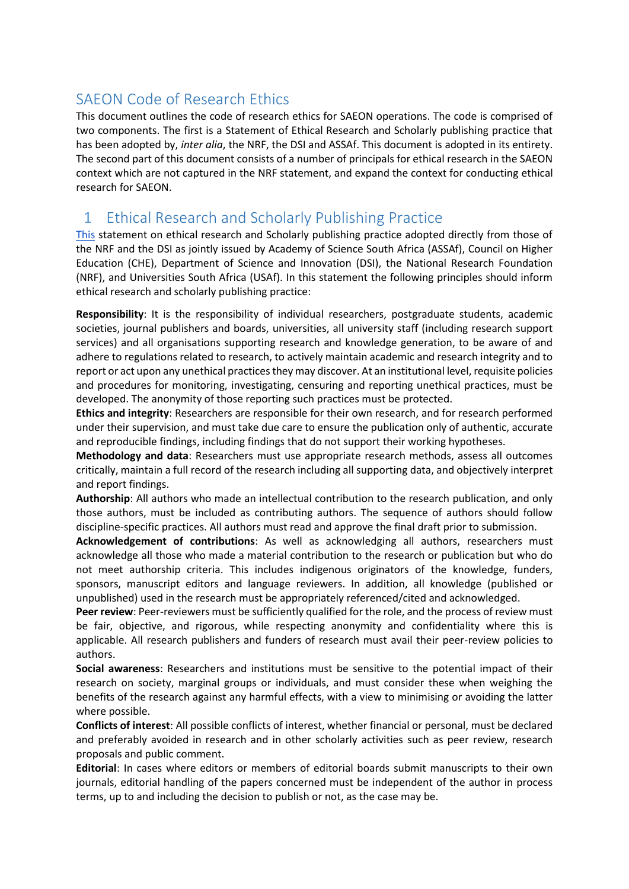# SAEON Code of Research Ethics

This document outlines the code of research ethics for SAEON operations. The code is comprised of two components. The first is a Statement of Ethical Research and Scholarly publishing practice that has been adopted by, *inter alia*, the NRF, the DSI and ASSAf. This document is adopted in its entirety. The second part of this document consists of a number of principals for ethical research in the SAEON context which are not captured in the NRF statement, and expand the context for conducting ethical research for SAEON.

# 1 Ethical Research and Scholarly Publishing Practice

This statement on ethical research and Scholarly publishing practice adopted directly from those of the NRF and the DSI as jointly issued by Academy of Science South Africa (ASSAf), Council on Higher Education (CHE), Department of Science and Innovation (DSI), the National Research Foundation (NRF), and Universities South Africa (USAf). In this statement the following principles should inform ethical research and scholarly publishing practice:

**Responsibility**: It is the responsibility of individual researchers, postgraduate students, academic societies, journal publishers and boards, universities, all university staff (including research support services) and all organisations supporting research and knowledge generation, to be aware of and adhere to regulations related to research, to actively maintain academic and research integrity and to report or act upon any unethical practices they may discover. At an institutional level, requisite policies and procedures for monitoring, investigating, censuring and reporting unethical practices, must be developed. The anonymity of those reporting such practices must be protected.

**Ethics and integrity**: Researchers are responsible for their own research, and for research performed under their supervision, and must take due care to ensure the publication only of authentic, accurate and reproducible findings, including findings that do not support their working hypotheses.

**Methodology and data**: Researchers must use appropriate research methods, assess all outcomes critically, maintain a full record of the research including all supporting data, and objectively interpret and report findings.

**Authorship**: All authors who made an intellectual contribution to the research publication, and only those authors, must be included as contributing authors. The sequence of authors should follow discipline-specific practices. All authors must read and approve the final draft prior to submission.

**Acknowledgement of contributions**: As well as acknowledging all authors, researchers must acknowledge all those who made a material contribution to the research or publication but who do not meet authorship criteria. This includes indigenous originators of the knowledge, funders, sponsors, manuscript editors and language reviewers. In addition, all knowledge (published or unpublished) used in the research must be appropriately referenced/cited and acknowledged.

Peer review: Peer-reviewers must be sufficiently qualified for the role, and the process of review must be fair, objective, and rigorous, while respecting anonymity and confidentiality where this is applicable. All research publishers and funders of research must avail their peer-review policies to authors.

**Social awareness**: Researchers and institutions must be sensitive to the potential impact of their research on society, marginal groups or individuals, and must consider these when weighing the benefits of the research against any harmful effects, with a view to minimising or avoiding the latter where possible.

**Conflicts of interest**: All possible conflicts of interest, whether financial or personal, must be declared and preferably avoided in research and in other scholarly activities such as peer review, research proposals and public comment.

**Editorial**: In cases where editors or members of editorial boards submit manuscripts to their own journals, editorial handling of the papers concerned must be independent of the author in process terms, up to and including the decision to publish or not, as the case may be.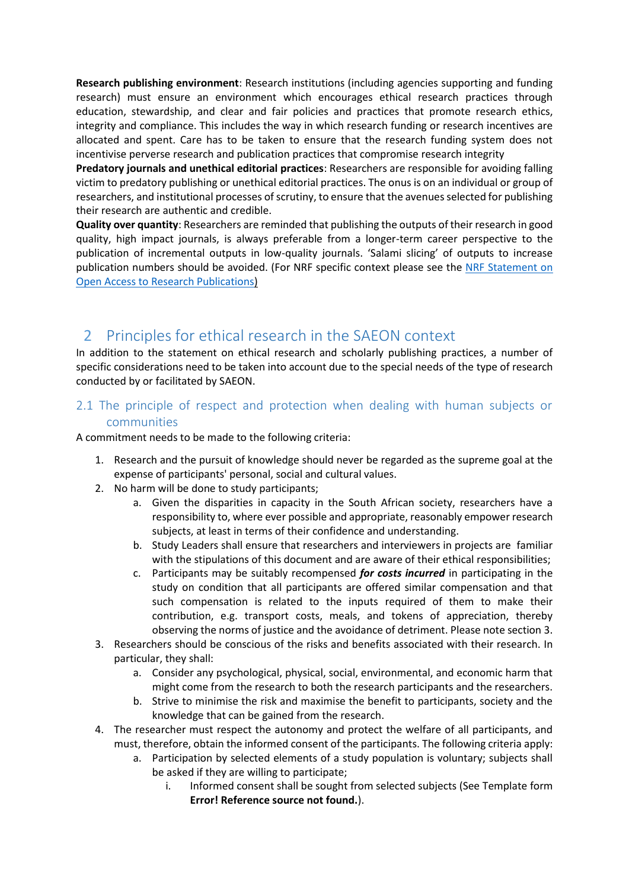**Research publishing environment**: Research institutions (including agencies supporting and funding research) must ensure an environment which encourages ethical research practices through education, stewardship, and clear and fair policies and practices that promote research ethics, integrity and compliance. This includes the way in which research funding or research incentives are allocated and spent. Care has to be taken to ensure that the research funding system does not incentivise perverse research and publication practices that compromise research integrity

**Predatory journals and unethical editorial practices**: Researchers are responsible for avoiding falling victim to predatory publishing or unethical editorial practices. The onus is on an individual or group of researchers, and institutional processes of scrutiny, to ensure that the avenues selected for publishing their research are authentic and credible.

**Quality over quantity**: Researchers are reminded that publishing the outputs of their research in good quality, high impact journals, is always preferable from a longer-term career perspective to the publication of incremental outputs in low-quality journals. 'Salami slicing' of outputs to increase publication numbers should be avoided. (For NRF specific context please see the NRF Statement on Open Access to Research Publications)

# 2 Principles for ethical research in the SAEON context

In addition to the statement on ethical research and scholarly publishing practices, a number of specific considerations need to be taken into account due to the special needs of the type of research conducted by or facilitated by SAEON.

#### 2.1 The principle of respect and protection when dealing with human subjects or communities

A commitment needs to be made to the following criteria:

- 1. Research and the pursuit of knowledge should never be regarded as the supreme goal at the expense of participants' personal, social and cultural values.
- 2. No harm will be done to study participants;
	- a. Given the disparities in capacity in the South African society, researchers have a responsibility to, where ever possible and appropriate, reasonably empower research subjects, at least in terms of their confidence and understanding.
	- b. Study Leaders shall ensure that researchers and interviewers in projects are familiar with the stipulations of this document and are aware of their ethical responsibilities;
	- c. Participants may be suitably recompensed *for costs incurred* in participating in the study on condition that all participants are offered similar compensation and that such compensation is related to the inputs required of them to make their contribution, e.g. transport costs, meals, and tokens of appreciation, thereby observing the norms of justice and the avoidance of detriment. Please note section [3.](#page-5-0)
- 3. Researchers should be conscious of the risks and benefits associated with their research. In particular, they shall:
	- a. Consider any psychological, physical, social, environmental, and economic harm that might come from the research to both the research participants and the researchers.
	- b. Strive to minimise the risk and maximise the benefit to participants, society and the knowledge that can be gained from the research.
- 4. The researcher must respect the autonomy and protect the welfare of all participants, and must, therefore, obtain the informed consent of the participants. The following criteria apply:
	- a. Participation by selected elements of a study population is voluntary; subjects shall be asked if they are willing to participate;
		- i. Informed consent shall be sought from selected subjects (See Template form **Error! Reference source not found.**).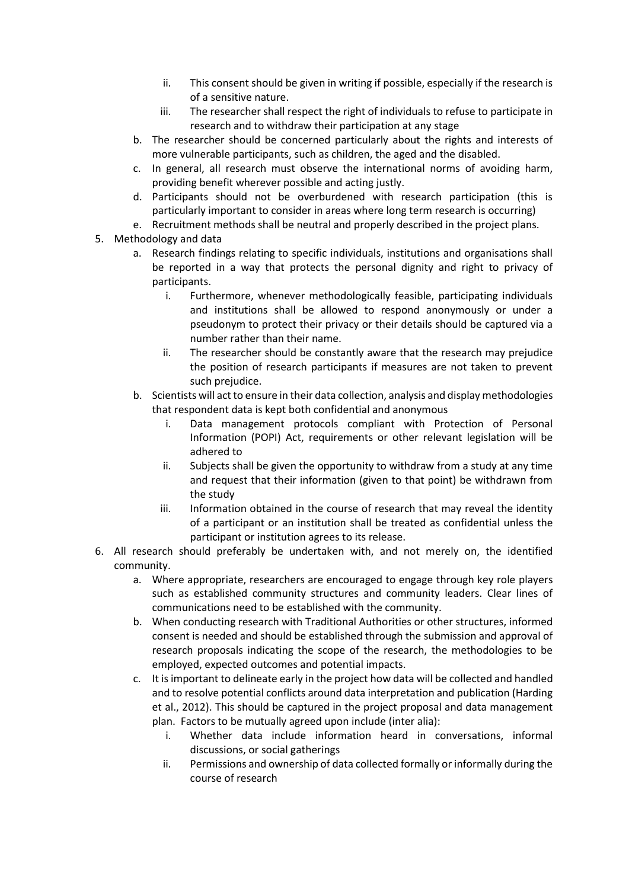- ii. This consent should be given in writing if possible, especially if the research is of a sensitive nature.
- iii. The researcher shall respect the right of individuals to refuse to participate in research and to withdraw their participation at any stage
- b. The researcher should be concerned particularly about the rights and interests of more vulnerable participants, such as children, the aged and the disabled.
- c. In general, all research must observe the international norms of avoiding harm, providing benefit wherever possible and acting justly.
- d. Participants should not be overburdened with research participation (this is particularly important to consider in areas where long term research is occurring)
- e. Recruitment methods shall be neutral and properly described in the project plans.
- 5. Methodology and data
	- a. Research findings relating to specific individuals, institutions and organisations shall be reported in a way that protects the personal dignity and right to privacy of participants.
		- i. Furthermore, whenever methodologically feasible, participating individuals and institutions shall be allowed to respond anonymously or under a pseudonym to protect their privacy or their details should be captured via a number rather than their name.
		- ii. The researcher should be constantly aware that the research may prejudice the position of research participants if measures are not taken to prevent such prejudice.
	- b. Scientists will act to ensure in their data collection, analysis and display methodologies that respondent data is kept both confidential and anonymous
		- i. Data management protocols compliant with Protection of Personal Information (POPI) Act, requirements or other relevant legislation will be adhered to
		- ii. Subjects shall be given the opportunity to withdraw from a study at any time and request that their information (given to that point) be withdrawn from the study
		- iii. Information obtained in the course of research that may reveal the identity of a participant or an institution shall be treated as confidential unless the participant or institution agrees to its release.
- 6. All research should preferably be undertaken with, and not merely on, the identified community.
	- a. Where appropriate, researchers are encouraged to engage through key role players such as established community structures and community leaders. Clear lines of communications need to be established with the community.
	- b. When conducting research with Traditional Authorities or other structures, informed consent is needed and should be established through the submission and approval of research proposals indicating the scope of the research, the methodologies to be employed, expected outcomes and potential impacts.
	- c. It is important to delineate early in the project how data will be collected and handled and to resolve potential conflicts around data interpretation and publication (Harding et al., 2012). This should be captured in the project proposal and data management plan. Factors to be mutually agreed upon include (inter alia):
		- i. Whether data include information heard in conversations, informal discussions, or social gatherings
		- ii. Permissions and ownership of data collected formally or informally during the course of research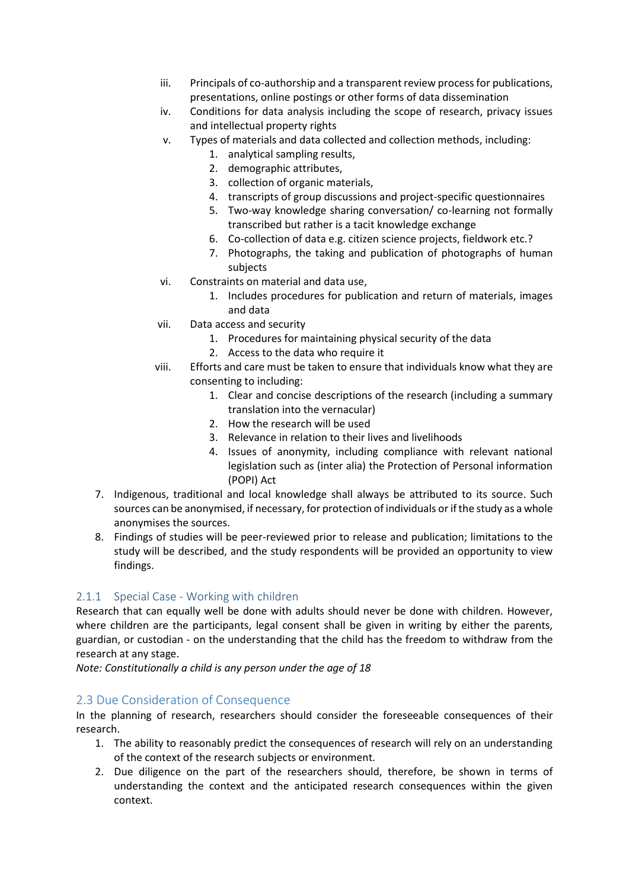- iii. Principals of co-authorship and a transparent review process for publications, presentations, online postings or other forms of data dissemination
- iv. Conditions for data analysis including the scope of research, privacy issues and intellectual property rights
- v. Types of materials and data collected and collection methods, including:
	- 1. analytical sampling results,
	- 2. demographic attributes,
	- 3. collection of organic materials,
	- 4. transcripts of group discussions and project-specific questionnaires
	- 5. Two-way knowledge sharing conversation/ co-learning not formally transcribed but rather is a tacit knowledge exchange
	- 6. Co-collection of data e.g. citizen science projects, fieldwork etc.?
	- 7. Photographs, the taking and publication of photographs of human subjects
- vi. Constraints on material and data use,
	- 1. Includes procedures for publication and return of materials, images and data
- vii. Data access and security
	- 1. Procedures for maintaining physical security of the data
	- 2. Access to the data who require it
- viii. Efforts and care must be taken to ensure that individuals know what they are consenting to including:
	- 1. Clear and concise descriptions of the research (including a summary translation into the vernacular)
	- 2. How the research will be used
	- 3. Relevance in relation to their lives and livelihoods
	- 4. Issues of anonymity, including compliance with relevant national legislation such as (inter alia) the Protection of Personal information (POPI) Act
- 7. Indigenous, traditional and local knowledge shall always be attributed to its source. Such sources can be anonymised, if necessary, for protection of individuals or if the study as a whole anonymises the sources.
- 8. Findings of studies will be peer-reviewed prior to release and publication; limitations to the study will be described, and the study respondents will be provided an opportunity to view findings.

### 2.1.1 Special Case - Working with children

Research that can equally well be done with adults should never be done with children. However, where children are the participants, legal consent shall be given in writing by either the parents, guardian, or custodian - on the understanding that the child has the freedom to withdraw from the research at any stage.

*Note: Constitutionally a child is any person under the age of 18*

## 2.3 Due Consideration of Consequence

In the planning of research, researchers should consider the foreseeable consequences of their research.

- 1. The ability to reasonably predict the consequences of research will rely on an understanding of the context of the research subjects or environment.
- 2. Due diligence on the part of the researchers should, therefore, be shown in terms of understanding the context and the anticipated research consequences within the given context.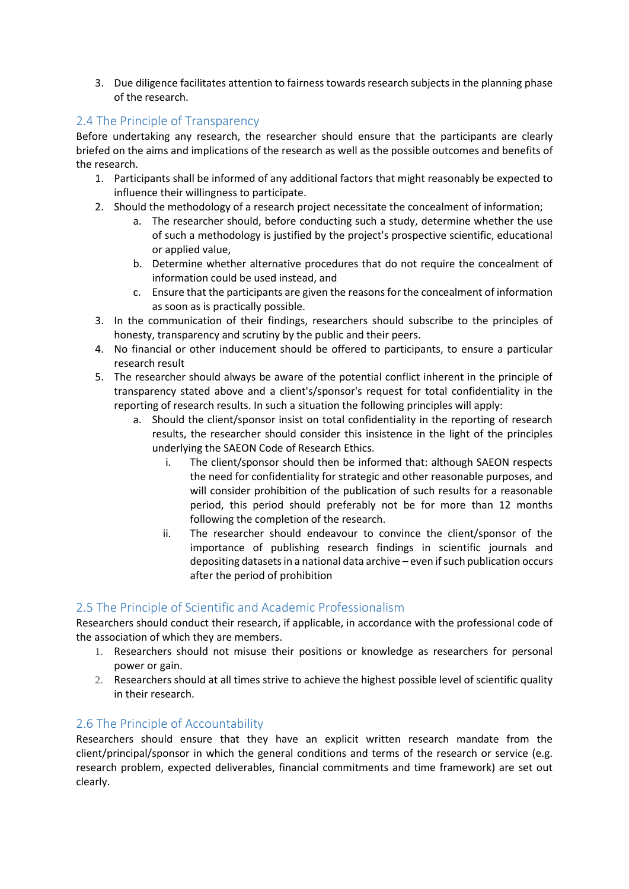<span id="page-5-0"></span>3. Due diligence facilitates attention to fairness towards research subjects in the planning phase of the research.

### 2.4 The Principle of Transparency

Before undertaking any research, the researcher should ensure that the participants are clearly briefed on the aims and implications of the research as well as the possible outcomes and benefits of the research.

- 1. Participants shall be informed of any additional factors that might reasonably be expected to influence their willingness to participate.
- 2. Should the methodology of a research project necessitate the concealment of information;
	- a. The researcher should, before conducting such a study, determine whether the use of such a methodology is justified by the project's prospective scientific, educational or applied value,
	- b. Determine whether alternative procedures that do not require the concealment of information could be used instead, and
	- c. Ensure that the participants are given the reasons for the concealment of information as soon as is practically possible.
- 3. In the communication of their findings, researchers should subscribe to the principles of honesty, transparency and scrutiny by the public and their peers.
- 4. No financial or other inducement should be offered to participants, to ensure a particular research result
- 5. The researcher should always be aware of the potential conflict inherent in the principle of transparency stated above and a client's/sponsor's request for total confidentiality in the reporting of research results. In such a situation the following principles will apply:
	- a. Should the client/sponsor insist on total confidentiality in the reporting of research results, the researcher should consider this insistence in the light of the principles underlying the SAEON Code of Research Ethics.
		- i. The client/sponsor should then be informed that: although SAEON respects the need for confidentiality for strategic and other reasonable purposes, and will consider prohibition of the publication of such results for a reasonable period, this period should preferably not be for more than 12 months following the completion of the research.
		- ii. The researcher should endeavour to convince the client/sponsor of the importance of publishing research findings in scientific journals and depositing datasets in a national data archive – even if such publication occurs after the period of prohibition

### 2.5 The Principle of Scientific and Academic Professionalism

Researchers should conduct their research, if applicable, in accordance with the professional code of the association of which they are members.

- 1. Researchers should not misuse their positions or knowledge as researchers for personal power or gain.
- 2. Researchers should at all times strive to achieve the highest possible level of scientific quality in their research.

### 2.6 The Principle of Accountability

Researchers should ensure that they have an explicit written research mandate from the client/principal/sponsor in which the general conditions and terms of the research or service (e.g. research problem, expected deliverables, financial commitments and time framework) are set out clearly.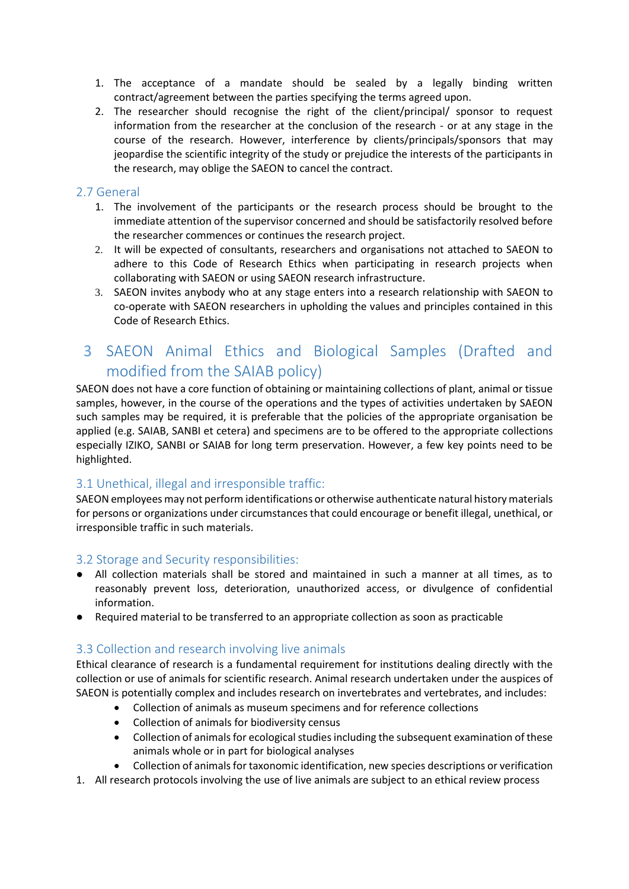- 1. The acceptance of a mandate should be sealed by a legally binding written contract/agreement between the parties specifying the terms agreed upon.
- 2. The researcher should recognise the right of the client/principal/ sponsor to request information from the researcher at the conclusion of the research - or at any stage in the course of the research. However, interference by clients/principals/sponsors that may jeopardise the scientific integrity of the study or prejudice the interests of the participants in the research, may oblige the SAEON to cancel the contract.

#### 2.7 General

- 1. The involvement of the participants or the research process should be brought to the immediate attention of the supervisor concerned and should be satisfactorily resolved before the researcher commences or continues the research project.
- 2. It will be expected of consultants, researchers and organisations not attached to SAEON to adhere to this Code of Research Ethics when participating in research projects when collaborating with SAEON or using SAEON research infrastructure.
- 3. SAEON invites anybody who at any stage enters into a research relationship with SAEON to co-operate with SAEON researchers in upholding the values and principles contained in this Code of Research Ethics.

# 3 SAEON Animal Ethics and Biological Samples (Drafted and modified from the SAIAB policy)

SAEON does not have a core function of obtaining or maintaining collections of plant, animal or tissue samples, however, in the course of the operations and the types of activities undertaken by SAEON such samples may be required, it is preferable that the policies of the appropriate organisation be applied (e.g. SAIAB, SANBI et cetera) and specimens are to be offered to the appropriate collections especially IZIKO, SANBI or SAIAB for long term preservation. However, a few key points need to be highlighted.

#### 3.1 Unethical, illegal and irresponsible traffic:

SAEON employees may not perform identifications or otherwise authenticate natural history materials for persons or organizations under circumstances that could encourage or benefit illegal, unethical, or irresponsible traffic in such materials.

#### 3.2 Storage and Security responsibilities:

- All collection materials shall be stored and maintained in such a manner at all times, as to reasonably prevent loss, deterioration, unauthorized access, or divulgence of confidential information.
- Required material to be transferred to an appropriate collection as soon as practicable

#### 3.3 Collection and research involving live animals

Ethical clearance of research is a fundamental requirement for institutions dealing directly with the collection or use of animals for scientific research. Animal research undertaken under the auspices of SAEON is potentially complex and includes research on invertebrates and vertebrates, and includes:

- Collection of animals as museum specimens and for reference collections
- Collection of animals for biodiversity census
- Collection of animals for ecological studies including the subsequent examination of these animals whole or in part for biological analyses
- Collection of animals for taxonomic identification, new species descriptions or verification
- 1. All research protocols involving the use of live animals are subject to an ethical review process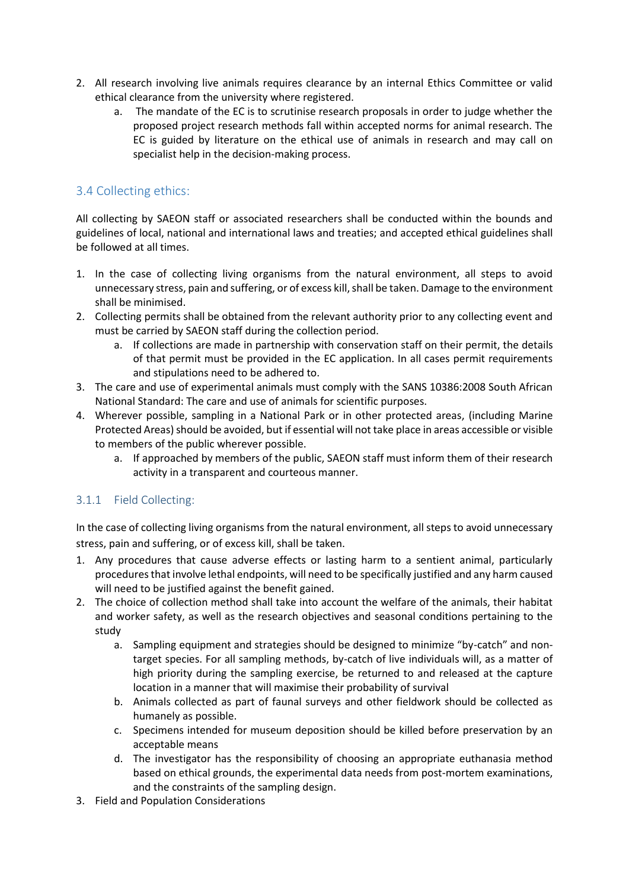- 2. All research involving live animals requires clearance by an internal Ethics Committee or valid ethical clearance from the university where registered.
	- a. The mandate of the EC is to scrutinise research proposals in order to judge whether the proposed project research methods fall within accepted norms for animal research. The EC is guided by literature on the ethical use of animals in research and may call on specialist help in the decision-making process.

## 3.4 Collecting ethics:

All collecting by SAEON staff or associated researchers shall be conducted within the bounds and guidelines of local, national and international laws and treaties; and accepted ethical guidelines shall be followed at all times.

- 1. In the case of collecting living organisms from the natural environment, all steps to avoid unnecessary stress, pain and suffering, or of excess kill, shall be taken. Damage to the environment shall be minimised.
- 2. Collecting permits shall be obtained from the relevant authority prior to any collecting event and must be carried by SAEON staff during the collection period.
	- a. If collections are made in partnership with conservation staff on their permit, the details of that permit must be provided in the EC application. In all cases permit requirements and stipulations need to be adhered to.
- 3. The care and use of experimental animals must comply with the SANS 10386:2008 South African National Standard: The care and use of animals for scientific purposes.
- 4. Wherever possible, sampling in a National Park or in other protected areas, (including Marine Protected Areas) should be avoided, but if essential will not take place in areas accessible or visible to members of the public wherever possible.
	- a. If approached by members of the public, SAEON staff must inform them of their research activity in a transparent and courteous manner.

## 3.1.1 Field Collecting:

In the case of collecting living organisms from the natural environment, all steps to avoid unnecessary stress, pain and suffering, or of excess kill, shall be taken.

- 1. Any procedures that cause adverse effects or lasting harm to a sentient animal, particularly procedures that involve lethal endpoints, will need to be specifically justified and any harm caused will need to be justified against the benefit gained.
- 2. The choice of collection method shall take into account the welfare of the animals, their habitat and worker safety, as well as the research objectives and seasonal conditions pertaining to the study
	- a. Sampling equipment and strategies should be designed to minimize "by-catch" and nontarget species. For all sampling methods, by-catch of live individuals will, as a matter of high priority during the sampling exercise, be returned to and released at the capture location in a manner that will maximise their probability of survival
	- b. Animals collected as part of faunal surveys and other fieldwork should be collected as humanely as possible.
	- c. Specimens intended for museum deposition should be killed before preservation by an acceptable means
	- d. The investigator has the responsibility of choosing an appropriate euthanasia method based on ethical grounds, the experimental data needs from post-mortem examinations, and the constraints of the sampling design.
- 3. Field and Population Considerations